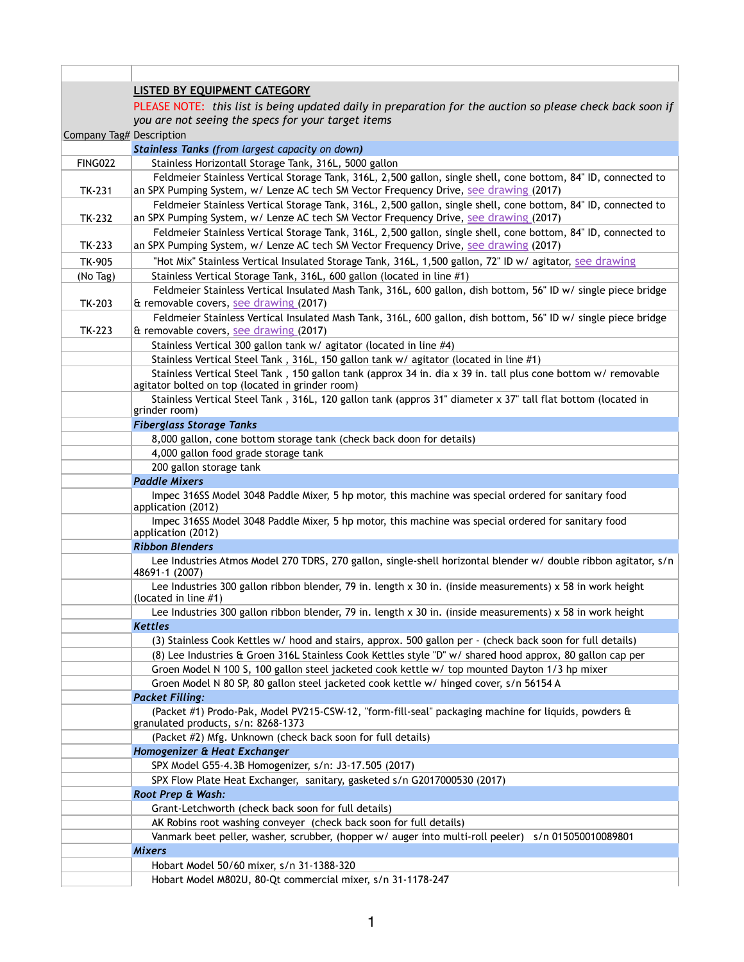|                          | <b>LISTED BY EQUIPMENT CATEGORY</b>                                                                                                                                                                     |
|--------------------------|---------------------------------------------------------------------------------------------------------------------------------------------------------------------------------------------------------|
|                          |                                                                                                                                                                                                         |
|                          | PLEASE NOTE: this list is being updated daily in preparation for the auction so please check back soon if                                                                                               |
|                          | you are not seeing the specs for your target items                                                                                                                                                      |
| Company Tag# Description |                                                                                                                                                                                                         |
|                          | Stainless Tanks (from largest capacity on down)                                                                                                                                                         |
| <b>FING022</b>           | Stainless Horizontall Storage Tank, 316L, 5000 gallon                                                                                                                                                   |
|                          | Feldmeier Stainless Vertical Storage Tank, 316L, 2,500 gallon, single shell, cone bottom, 84" ID, connected to                                                                                          |
| TK-231                   | an SPX Pumping System, w/ Lenze AC tech SM Vector Frequency Drive, see drawing (2017)                                                                                                                   |
|                          | Feldmeier Stainless Vertical Storage Tank, 316L, 2,500 gallon, single shell, cone bottom, 84" ID, connected to                                                                                          |
| TK-232                   | an SPX Pumping System, w/ Lenze AC tech SM Vector Frequency Drive, see drawing (2017)                                                                                                                   |
| TK-233                   | Feldmeier Stainless Vertical Storage Tank, 316L, 2,500 gallon, single shell, cone bottom, 84" ID, connected to<br>an SPX Pumping System, w/ Lenze AC tech SM Vector Frequency Drive, see drawing (2017) |
| TK-905                   | "Hot Mix" Stainless Vertical Insulated Storage Tank, 316L, 1,500 gallon, 72" ID w/ agitator, see drawing                                                                                                |
| (No Tag)                 | Stainless Vertical Storage Tank, 316L, 600 gallon (located in line #1)                                                                                                                                  |
|                          | Feldmeier Stainless Vertical Insulated Mash Tank, 316L, 600 gallon, dish bottom, 56" ID w/ single piece bridge                                                                                          |
| TK-203                   | & removable covers, see drawing (2017)                                                                                                                                                                  |
| TK-223                   | Feldmeier Stainless Vertical Insulated Mash Tank, 316L, 600 gallon, dish bottom, 56" ID w/ single piece bridge<br>& removable covers, see drawing (2017)                                                |
|                          | Stainless Vertical 300 gallon tank w/ agitator (located in line #4)                                                                                                                                     |
|                          | Stainless Vertical Steel Tank, 316L, 150 gallon tank w/ agitator (located in line #1)                                                                                                                   |
|                          | Stainless Vertical Steel Tank, 150 gallon tank (approx 34 in. dia x 39 in. tall plus cone bottom w/ removable                                                                                           |
|                          | agitator bolted on top (located in grinder room)                                                                                                                                                        |
|                          | Stainless Vertical Steel Tank, 316L, 120 gallon tank (appros 31" diameter x 37" tall flat bottom (located in<br>grinder room)                                                                           |
|                          | <b>Fiberglass Storage Tanks</b>                                                                                                                                                                         |
|                          | 8,000 gallon, cone bottom storage tank (check back doon for details)                                                                                                                                    |
|                          | 4,000 gallon food grade storage tank                                                                                                                                                                    |
|                          | 200 gallon storage tank                                                                                                                                                                                 |
|                          | <b>Paddle Mixers</b>                                                                                                                                                                                    |
|                          | Impec 316SS Model 3048 Paddle Mixer, 5 hp motor, this machine was special ordered for sanitary food<br>application (2012)                                                                               |
|                          | Impec 316SS Model 3048 Paddle Mixer, 5 hp motor, this machine was special ordered for sanitary food<br>application (2012)                                                                               |
|                          | <b>Ribbon Blenders</b>                                                                                                                                                                                  |
|                          | Lee Industries Atmos Model 270 TDRS, 270 gallon, single-shell horizontal blender w/ double ribbon agitator, s/n<br>48691-1 (2007)                                                                       |
|                          | Lee Industries 300 gallon ribbon blender, 79 in. length x 30 in. (inside measurements) x 58 in work height<br>(located in line #1)                                                                      |
|                          | Lee Industries 300 gallon ribbon blender, 79 in. length x 30 in. (inside measurements) x 58 in work height                                                                                              |
|                          | Kettles                                                                                                                                                                                                 |
|                          | (3) Stainless Cook Kettles w/ hood and stairs, approx. 500 gallon per - (check back soon for full details)                                                                                              |
|                          | (8) Lee Industries & Groen 316L Stainless Cook Kettles style "D" w/ shared hood approx, 80 gallon cap per                                                                                               |
|                          | Groen Model N 100 S, 100 gallon steel jacketed cook kettle w/ top mounted Dayton 1/3 hp mixer                                                                                                           |
|                          | Groen Model N 80 SP, 80 gallon steel jacketed cook kettle w/ hinged cover, s/n 56154 A                                                                                                                  |
|                          | <b>Packet Filling:</b>                                                                                                                                                                                  |
|                          | (Packet #1) Prodo-Pak, Model PV215-CSW-12, "form-fill-seal" packaging machine for liquids, powders &<br>granulated products, s/n: 8268-1373                                                             |
|                          | (Packet #2) Mfg. Unknown (check back soon for full details)                                                                                                                                             |
|                          | Homogenizer & Heat Exchanger                                                                                                                                                                            |
|                          | SPX Model G55-4.3B Homogenizer, s/n: J3-17.505 (2017)                                                                                                                                                   |
|                          | SPX Flow Plate Heat Exchanger, sanitary, gasketed s/n G2017000530 (2017)                                                                                                                                |
|                          | Root Prep & Wash:                                                                                                                                                                                       |
|                          | Grant-Letchworth (check back soon for full details)                                                                                                                                                     |
|                          | AK Robins root washing conveyer (check back soon for full details)                                                                                                                                      |
|                          | Vanmark beet peller, washer, scrubber, (hopper w/ auger into multi-roll peeler) s/n 015050010089801                                                                                                     |
|                          | <b>Mixers</b>                                                                                                                                                                                           |
|                          | Hobart Model 50/60 mixer, s/n 31-1388-320                                                                                                                                                               |
|                          | Hobart Model M802U, 80-Qt commercial mixer, s/n 31-1178-247                                                                                                                                             |

Г

 $\mathbb{L}$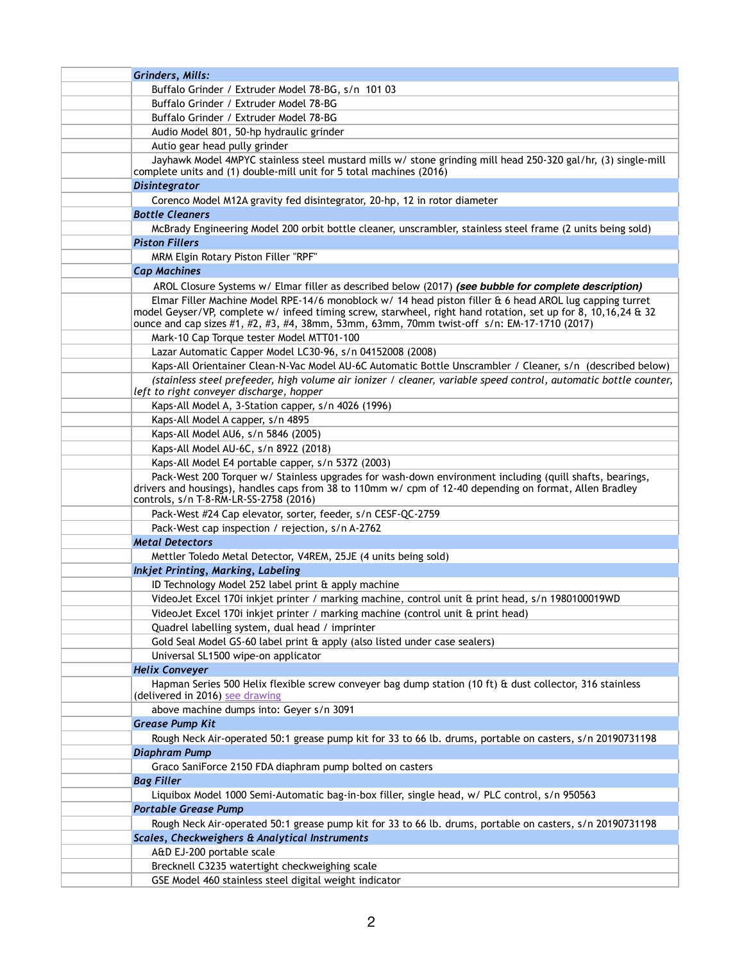| Grinders, Mills:                                                                                                                                                                                                                                                                                                        |
|-------------------------------------------------------------------------------------------------------------------------------------------------------------------------------------------------------------------------------------------------------------------------------------------------------------------------|
| Buffalo Grinder / Extruder Model 78-BG, s/n 101 03                                                                                                                                                                                                                                                                      |
| Buffalo Grinder / Extruder Model 78-BG                                                                                                                                                                                                                                                                                  |
| Buffalo Grinder / Extruder Model 78-BG                                                                                                                                                                                                                                                                                  |
| Audio Model 801, 50-hp hydraulic grinder                                                                                                                                                                                                                                                                                |
| Autio gear head pully grinder                                                                                                                                                                                                                                                                                           |
| Jayhawk Model 4MPYC stainless steel mustard mills w/ stone grinding mill head 250-320 gal/hr, (3) single-mill<br>complete units and (1) double-mill unit for 5 total machines (2016)                                                                                                                                    |
| <b>Disintegrator</b>                                                                                                                                                                                                                                                                                                    |
| Corenco Model M12A gravity fed disintegrator, 20-hp, 12 in rotor diameter                                                                                                                                                                                                                                               |
| <b>Bottle Cleaners</b>                                                                                                                                                                                                                                                                                                  |
| McBrady Engineering Model 200 orbit bottle cleaner, unscrambler, stainless steel frame (2 units being sold)                                                                                                                                                                                                             |
| <b>Piston Fillers</b>                                                                                                                                                                                                                                                                                                   |
| MRM Elgin Rotary Piston Filler "RPF"                                                                                                                                                                                                                                                                                    |
| <b>Cap Machines</b>                                                                                                                                                                                                                                                                                                     |
| AROL Closure Systems w/ Elmar filler as described below (2017) (see bubble for complete description)                                                                                                                                                                                                                    |
| Elmar Filler Machine Model RPE-14/6 monoblock w/ 14 head piston filler & 6 head AROL lug capping turret<br>model Geyser/VP, complete w/ infeed timing screw, starwheel, right hand rotation, set up for 8, 10,16,24 & 32<br>ounce and cap sizes #1, #2, #3, #4, 38mm, 53mm, 63mm, 70mm twist-off s/n: EM-17-1710 (2017) |
| Mark-10 Cap Torque tester Model MTT01-100                                                                                                                                                                                                                                                                               |
| Lazar Automatic Capper Model LC30-96, s/n 04152008 (2008)                                                                                                                                                                                                                                                               |
| Kaps-All Orientainer Clean-N-Vac Model AU-6C Automatic Bottle Unscrambler / Cleaner, s/n (described below)                                                                                                                                                                                                              |
| (stainless steel prefeeder, high volume air ionizer / cleaner, variable speed control, automatic bottle counter,<br>left to right conveyer discharge, hopper                                                                                                                                                            |
| Kaps-All Model A, 3-Station capper, s/n 4026 (1996)                                                                                                                                                                                                                                                                     |
| Kaps-All Model A capper, s/n 4895                                                                                                                                                                                                                                                                                       |
| Kaps-All Model AU6, s/n 5846 (2005)                                                                                                                                                                                                                                                                                     |
| Kaps-All Model AU-6C, s/n 8922 (2018)                                                                                                                                                                                                                                                                                   |
| Kaps-All Model E4 portable capper, s/n 5372 (2003)                                                                                                                                                                                                                                                                      |
| Pack-West 200 Torquer w/ Stainless upgrades for wash-down environment including (quill shafts, bearings,<br>drivers and housings), handles caps from 38 to 110mm w/ cpm of 12-40 depending on format, Allen Bradley<br>controls, s/n T-8-RM-LR-SS-2758 (2016)                                                           |
| Pack-West #24 Cap elevator, sorter, feeder, s/n CESF-QC-2759                                                                                                                                                                                                                                                            |
| Pack-West cap inspection / rejection, s/n A-2762                                                                                                                                                                                                                                                                        |
| <b>Metal Detectors</b>                                                                                                                                                                                                                                                                                                  |
| Mettler Toledo Metal Detector, V4REM, 25JE (4 units being sold)                                                                                                                                                                                                                                                         |
| Inkjet Printing, Marking, Labeling                                                                                                                                                                                                                                                                                      |
| ID Technology Model 252 label print & apply machine                                                                                                                                                                                                                                                                     |
| VideoJet Excel 170i inkjet printer / marking machine, control unit & print head, s/n 1980100019WD                                                                                                                                                                                                                       |
| VideoJet Excel 170i inkjet printer / marking machine (control unit & print head)                                                                                                                                                                                                                                        |
| Quadrel labelling system, dual head / imprinter                                                                                                                                                                                                                                                                         |
| Gold Seal Model GS-60 label print & apply (also listed under case sealers)                                                                                                                                                                                                                                              |
| Universal SL1500 wipe-on applicator                                                                                                                                                                                                                                                                                     |
| <b>Helix Conveyer</b>                                                                                                                                                                                                                                                                                                   |
| Hapman Series 500 Helix flexible screw conveyer bag dump station (10 ft) & dust collector, 316 stainless<br>(delivered in 2016) see drawing                                                                                                                                                                             |
| above machine dumps into: Geyer s/n 3091                                                                                                                                                                                                                                                                                |
| <b>Grease Pump Kit</b>                                                                                                                                                                                                                                                                                                  |
| Rough Neck Air-operated 50:1 grease pump kit for 33 to 66 lb. drums, portable on casters, s/n 20190731198                                                                                                                                                                                                               |
| <b>Diaphram Pump</b>                                                                                                                                                                                                                                                                                                    |
| Graco SaniForce 2150 FDA diaphram pump bolted on casters                                                                                                                                                                                                                                                                |
| <b>Bag Filler</b>                                                                                                                                                                                                                                                                                                       |
| Liquibox Model 1000 Semi-Automatic bag-in-box filler, single head, w/ PLC control, s/n 950563                                                                                                                                                                                                                           |
| <b>Portable Grease Pump</b>                                                                                                                                                                                                                                                                                             |
| Rough Neck Air-operated 50:1 grease pump kit for 33 to 66 lb. drums, portable on casters, s/n 20190731198                                                                                                                                                                                                               |
| Scales, Checkweighers & Analytical Instruments                                                                                                                                                                                                                                                                          |
| A&D EJ-200 portable scale                                                                                                                                                                                                                                                                                               |
| Brecknell C3235 watertight checkweighing scale                                                                                                                                                                                                                                                                          |
| GSE Model 460 stainless steel digital weight indicator                                                                                                                                                                                                                                                                  |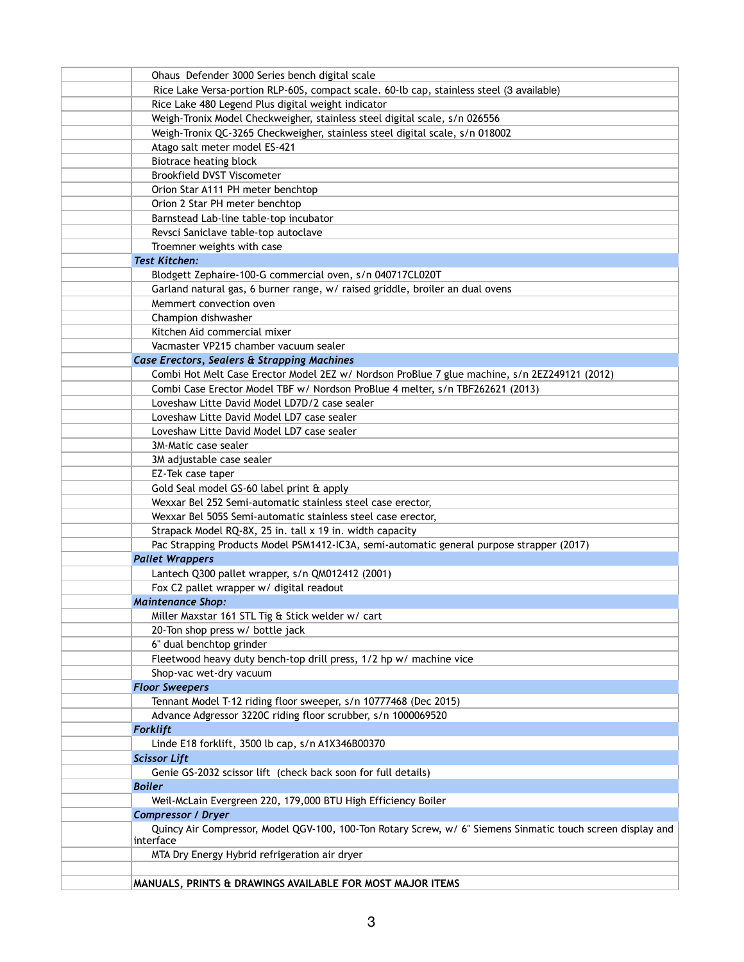| Ohaus Defender 3000 Series bench digital scale                                                              |
|-------------------------------------------------------------------------------------------------------------|
| Rice Lake Versa-portion RLP-60S, compact scale. 60-lb cap, stainless steel (3 available)                    |
| Rice Lake 480 Legend Plus digital weight indicator                                                          |
| Weigh-Tronix Model Checkweigher, stainless steel digital scale, s/n 026556                                  |
| Weigh-Tronix QC-3265 Checkweigher, stainless steel digital scale, s/n 018002                                |
| Atago salt meter model ES-421                                                                               |
| Biotrace heating block                                                                                      |
| <b>Brookfield DVST Viscometer</b>                                                                           |
| Orion Star A111 PH meter benchtop                                                                           |
| Orion 2 Star PH meter benchtop                                                                              |
| Barnstead Lab-line table-top incubator                                                                      |
| Revsci Saniclave table-top autoclave                                                                        |
| Troemner weights with case                                                                                  |
| <b>Test Kitchen:</b>                                                                                        |
| Blodgett Zephaire-100-G commercial oven, s/n 040717CL020T                                                   |
| Garland natural gas, 6 burner range, w/ raised griddle, broiler an dual ovens                               |
| Memmert convection oven                                                                                     |
| Champion dishwasher                                                                                         |
| Kitchen Aid commercial mixer                                                                                |
| Vacmaster VP215 chamber vacuum sealer                                                                       |
| Case Erectors, Sealers & Strapping Machines                                                                 |
| Combi Hot Melt Case Erector Model 2EZ w/ Nordson ProBlue 7 glue machine, s/n 2EZ249121 (2012)               |
| Combi Case Erector Model TBF w/ Nordson ProBlue 4 melter, s/n TBF262621 (2013)                              |
| Loveshaw Litte David Model LD7D/2 case sealer                                                               |
| Loveshaw Litte David Model LD7 case sealer                                                                  |
| Loveshaw Litte David Model LD7 case sealer                                                                  |
| 3M-Matic case sealer                                                                                        |
| 3M adjustable case sealer                                                                                   |
| EZ-Tek case taper                                                                                           |
| Gold Seal model GS-60 label print & apply                                                                   |
| Wexxar Bel 252 Semi-automatic stainless steel case erector,                                                 |
| Wexxar Bel 505S Semi-automatic stainless steel case erector,                                                |
| Strapack Model RQ-8X, 25 in. tall x 19 in. width capacity                                                   |
| Pac Strapping Products Model PSM1412-IC3A, semi-automatic general purpose strapper (2017)                   |
| <b>Pallet Wrappers</b>                                                                                      |
| Lantech Q300 pallet wrapper, s/n QM012412 (2001)                                                            |
| Fox C2 pallet wrapper w/ digital readout                                                                    |
| <b>Maintenance Shop:</b>                                                                                    |
| Miller Maxstar 161 STL Tig & Stick welder w/ cart                                                           |
| 20-Ton shop press w/ bottle jack                                                                            |
| 6" dual benchtop grinder                                                                                    |
| Fleetwood heavy duty bench-top drill press, 1/2 hp w/ machine vice                                          |
| Shop-vac wet-dry vacuum                                                                                     |
| <b>Floor Sweepers</b>                                                                                       |
| Tennant Model T-12 riding floor sweeper, s/n 10777468 (Dec 2015)                                            |
| Advance Adgressor 3220C riding floor scrubber, s/n 1000069520                                               |
| <b>Forklift</b>                                                                                             |
| Linde E18 forklift, 3500 lb cap, s/n A1X346B00370                                                           |
| <b>Scissor Lift</b>                                                                                         |
| Genie GS-2032 scissor lift (check back soon for full details)                                               |
| <b>Boiler</b>                                                                                               |
| Weil-McLain Evergreen 220, 179,000 BTU High Efficiency Boiler                                               |
| <b>Compressor / Dryer</b>                                                                                   |
| Quincy Air Compressor, Model QGV-100, 100-Ton Rotary Screw, w/ 6" Siemens Sinmatic touch screen display and |
| interface                                                                                                   |
| MTA Dry Energy Hybrid refrigeration air dryer                                                               |
|                                                                                                             |
| MANUALS, PRINTS & DRAWINGS AVAILABLE FOR MOST MAJOR ITEMS                                                   |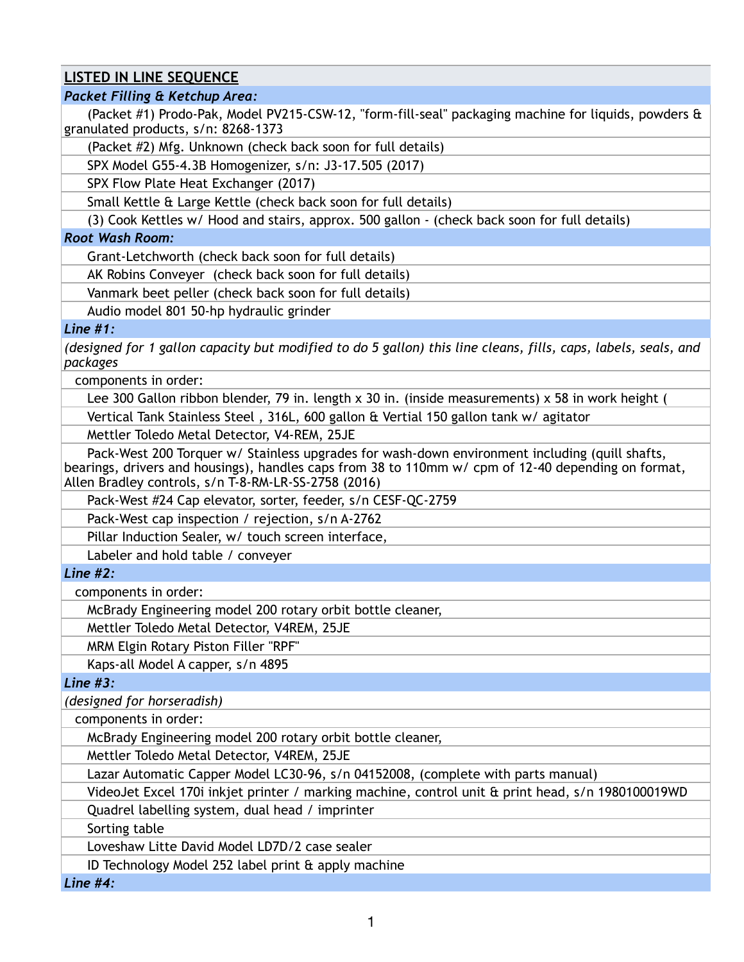# **LISTED IN LINE SEQUENCE**

## *Packet Filling & Ketchup Area:*

(Packet #1) Prodo-Pak, Model PV215-CSW-12, "form-fill-seal" packaging machine for liquids, powders & granulated products, s/n: 8268-1373

(Packet #2) Mfg. Unknown (check back soon for full details)

SPX Model G55-4.3B Homogenizer, s/n: J3-17.505 (2017)

SPX Flow Plate Heat Exchanger (2017)

Small Kettle & Large Kettle (check back soon for full details)

(3) Cook Kettles w/ Hood and stairs, approx. 500 gallon - (check back soon for full details)

#### *Root Wash Room:*

Grant-Letchworth (check back soon for full details)

AK Robins Conveyer (check back soon for full details)

Vanmark beet peller (check back soon for full details)

Audio model 801 50-hp hydraulic grinder

### *Line #1:*

*(designed for 1 gallon capacity but modified to do 5 gallon) this line cleans, fills, caps, labels, seals, and packages*

components in order:

Lee 300 Gallon ribbon blender, 79 in. length x 30 in. (inside measurements) x 58 in work height (

Vertical Tank Stainless Steel , 316L, 600 gallon & Vertial 150 gallon tank w/ agitator

Mettler Toledo Metal Detector, V4-REM, 25JE

Pack-West 200 Torquer w/ Stainless upgrades for wash-down environment including (quill shafts, bearings, drivers and housings), handles caps from 38 to 110mm w/ cpm of 12-40 depending on format, Allen Bradley controls, s/n T-8-RM-LR-SS-2758 (2016)

Pack-West #24 Cap elevator, sorter, feeder, s/n CESF-QC-2759

Pack-West cap inspection / rejection, s/n A-2762

Pillar Induction Sealer, w/ touch screen interface,

Labeler and hold table / conveyer

## *Line #2:*

components in order:

McBrady Engineering model 200 rotary orbit bottle cleaner,

Mettler Toledo Metal Detector, V4REM, 25JE

MRM Elgin Rotary Piston Filler "RPF"

Kaps-all Model A capper, s/n 4895

*Line #3:* 

*(designed for horseradish)*

components in order:

McBrady Engineering model 200 rotary orbit bottle cleaner,

Mettler Toledo Metal Detector, V4REM, 25JE

Lazar Automatic Capper Model LC30-96, s/n 04152008, (complete with parts manual)

VideoJet Excel 170i inkjet printer / marking machine, control unit & print head, s/n 1980100019WD

Quadrel labelling system, dual head / imprinter

Sorting table

Loveshaw Litte David Model LD7D/2 case sealer

ID Technology Model 252 label print & apply machine

*Line #4:*